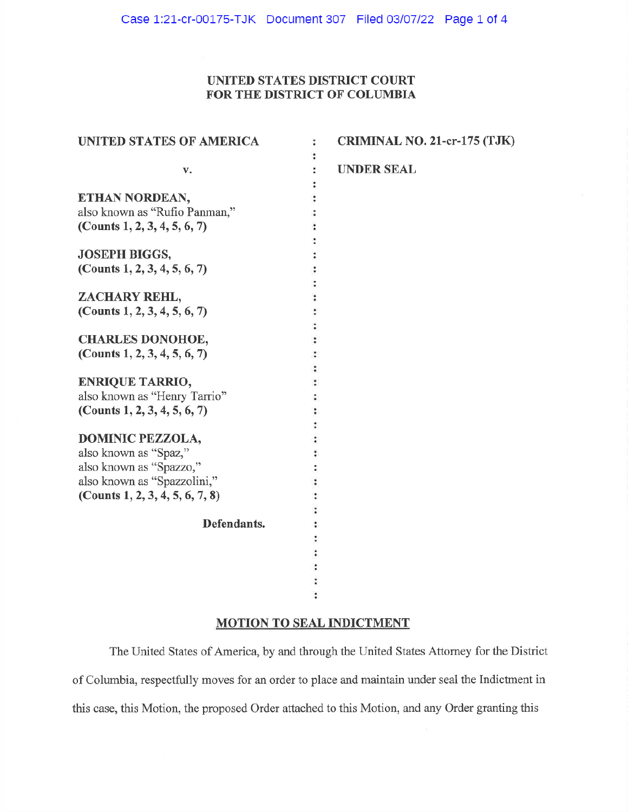## UNITED STATES DISTRICT COURT FOR THE DISTRICT OF COLUMBIA

| <b>UNITED STATES OF AMERICA</b> | :                    | CRIMINAL NO. 21-cr-175 (TJK) |
|---------------------------------|----------------------|------------------------------|
|                                 |                      |                              |
| v.                              | $\ddot{\phantom{0}}$ | <b>UNDER SEAL</b>            |
|                                 |                      |                              |
| ETHAN NORDEAN,                  |                      |                              |
| also known as "Rufio Panman,"   |                      |                              |
| (Counts 1, 2, 3, 4, 5, 6, 7)    |                      |                              |
|                                 |                      |                              |
| <b>JOSEPH BIGGS,</b>            |                      |                              |
| (Counts $1, 2, 3, 4, 5, 6, 7$ ) |                      |                              |
|                                 |                      |                              |
| ZACHARY REHL,                   |                      |                              |
| (Counts $1, 2, 3, 4, 5, 6, 7$ ) |                      |                              |
|                                 |                      |                              |
| <b>CHARLES DONOHOE,</b>         |                      |                              |
| (Counts 1, 2, 3, 4, 5, 6, 7)    |                      |                              |
|                                 |                      |                              |
| <b>ENRIQUE TARRIO,</b>          |                      |                              |
| also known as "Henry Tarrio"    |                      |                              |
| (Counts 1, 2, 3, 4, 5, 6, 7)    |                      |                              |
|                                 |                      |                              |
| <b>DOMINIC PEZZOLA,</b>         |                      |                              |
| also known as "Spaz,"           |                      |                              |
| also known as "Spazzo,"         |                      |                              |
| also known as "Spazzolini,"     |                      |                              |
| (Counts 1, 2, 3, 4, 5, 6, 7, 8) |                      |                              |
|                                 |                      |                              |
| Defendants.                     |                      |                              |
|                                 |                      |                              |
|                                 |                      |                              |
|                                 |                      |                              |
|                                 |                      |                              |
|                                 |                      |                              |
|                                 |                      |                              |

# **MOTION TO SEAL INDICTMENT**

The United States of America, by and through the United States Attorney for the District of Columbia, respectfully moves for an order to place and maintain under seal the Indictment in this case, this Motion, the proposed Order attached to this Motion, and any Order granting this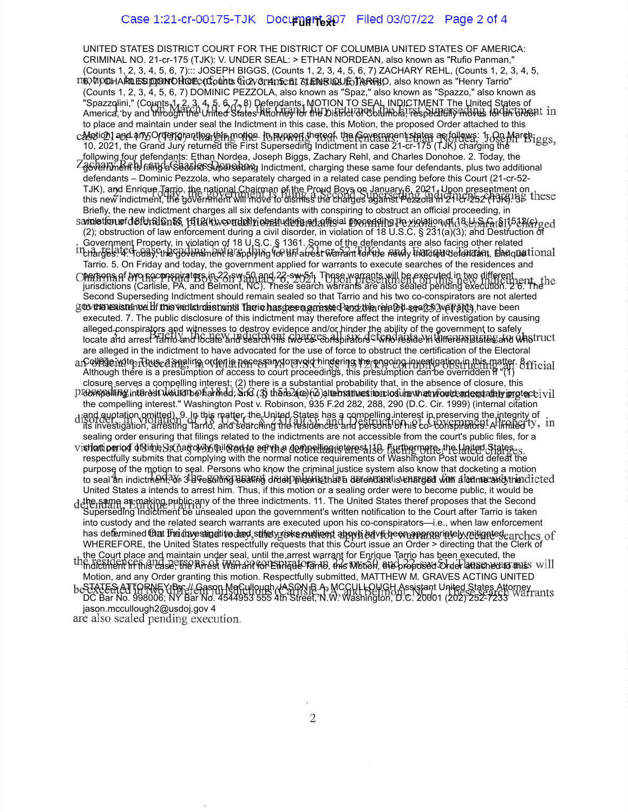#### Case 1:21-cr-00175-TJK Document<sub>e</sub>307 Filed 03/07/22 Page 2 of 4

UNITED STATES DISTRICT COURT FOR THE DISTRICT OF COLUMBIA UNITED STATES OF AMERICA: CRIMINAL NO. 21-cr-175 (TJK): V. UNDER SEAL: > ETHAN NORDEAN, also known as "Rufio Panman," (Counts 1, 2, 3, 4, 5, 6, 7)::: JOSEPH BIGGS, (Counts 1, 2, 3, 4, 5, 6, 7) ZACHARY REHL, (Counts 1, 2, 3, 4, 5, 6, 7) CHARLES DONOHOE, (Counts 1, 2, 3, 4, 5, 6, 7) ENRIQUE TARRIO, also known as "Henry Tarrio" (Counts 1, 2, 3, 4, 5, 6, 7) DOMINIC PEZZOLA, also known as "Spaz," also known as "Spazzo," also known as "Spazzolini," (Counts 1, 2, 3, 4, 5, 6, 7, 8) Defendants. MOTION TO SEAL INDICTMENT The United States of America, by and through the United States Attorney for the District of Columbia, respectfully moves for an order to place and maintain under seal the Indictment in this case, this Motion, the proposed Order attached to this Motion] and any Order granting this motion. In support thereof, the Government states as follows: 1. Qn March, 10, 2021, the Grand Jury returned the First Superseding Indictment in case 21-cr-175 (TJK) charging the following four defendants: Ethan Nordea, Joseph Biggs, Zachary Rehl, and Charles Donohoe. 2. Today, the લુ<del>ંઈ∀ઇI</del>Tment is filing a SedઇIrcSdyperseuncg Indictment, charging these same four defendants, plus two additional defendants – Dominic Pezzola, who separately charged in a related case pending before this Court (21-cr-52- TJK), and Enrique Tarrio, the national Chairman of the Proud Boys on January 6, 2021. Upon presentment on this new indictment, the government will move to dismiss the charges against Pezzola in 21-cr-252 (TJK). 3. Briefly, the new indictment charges all six defendants with conspiring to obstruct an official proceeding, in samation of defensionss, 1512(k); vorddily obstructing an afficial proceeding Pezzolation of d&ebarat \$1508(c) ged (2); obstruction of law enforcement during a civil disorder, in violation of 18 U.S.C. § 231(a)(3); and Destruction of Government Property, in violation of 18 U.S.C. § 1361. Some of the defendants are also facing other related charges. 4. Today, the government is applying for an arrest warrant for the newly indicted defendant, Enrique Tarrio. 5. On Friday and today, the government applied for warrants to execute searches of the residences and persons of two coconspirators in 22-sw-50 and 22-sw-51. Those warrants will be executed in two different jurisdictions (Carlisle, PA, and Belmont, NC). These search warrants are also sealed pending execution. 2 6. The Second Superseding Indictment should remain sealed so that Tarrio and his two co-conspirators are not alerted g to the existence of this ved to denturial Tacio has peen arrested and the related search warrants, have been executed. 7. The public disclosure of this indictment may therefore affect the integrity of investigation by causing alleged conspirato<u>rs and witnesses to destroy</u> evidence and/or hinder the ability of the government to safely, locate and arrest Tarrio and locate and search his two co- conspirators - who reside in different states and who are alleged in the indictment to have advocated for the use of force to obstruct the certification of the Electoral College wote. Thus, a sealing order i<del>n</del> necessary to avoid hindering the ongoing investigation in this matter. 8. Although there is a presumption of access to court proceedings, this presumption can be overridden if "(1) closure serves a compelling interest; (2) there is a substantial probability that, in the absence of closure, this  $P$  compelling interest would be harmed; and (3) there are no alternatives tror losure that would adequately implect  $\mathrm{vol}$ the compelling interest." Washington Post v. Robinson, 935 F.2d 282, 288, 290 (D.C. Cir. 1999) (internal citation and quotation omitted). 9. In this matter, the United States has a compelling interest in preserving the integrity of its investigation, arresting Tarrio, and searching the residences and persons of his co- conspirators. A limited sealing order ensuring that filings related to the indictments are not accessible from the court's public files, for a vistlattiperiod of time, Schafowy tail Sen to serve a compelling interest. 148. Furthermore, the United States respectfully submits that complying with the normal notice requirements of Washington Post would defeat the purpose of the motion to seal. Persons who know the criminal justice system also know that docketing a motion to seal an indictment? In 3 a resulting sealing order, means that a defendant is charged with a lonne and the dicted United States a intends to arrest him. Thus, if this motion or a sealing order were to become public, it would be t**he same** aթ making public any of the three indictments. 11. The United States theref proposes that the Second Superseding Indictment be unsealed upon the government's written notification to the Court after Tarrio is taken into custody and the related search warrants are executed upon his co-conspirators—i.e., when law enforcement has defermined that the investigative dang, sthet you have countined appyled adve been appropriately religede. WHEREFORE, the United States respectfully requests that this Court issue an Order > directing that the Clerk of the Court place and maintain under seal, until the arrest warrant for Enrique Tarrio has been executed, the Indictment in this case, the Arrest Warrant for Enrique Tarrio, this Motion, the proposed Order attached to this Motion, and any Order granting this motion. Respectfully submitted, MATTHEW M. GRAVES ACTING UNITED STATES ATTORNEY By: // Gason MeCullough JASON B.A. MCCULLOUGH Assistant United States Attorney DC Bar No. 998006; NY Bar No. 4544953 555 4th Street, N.W. Washington, D.C. 20001 (202) 252-7233 jason.mccullough2@usdoj.gov 4<br>are also sealed pending execution.

 $\overline{2}$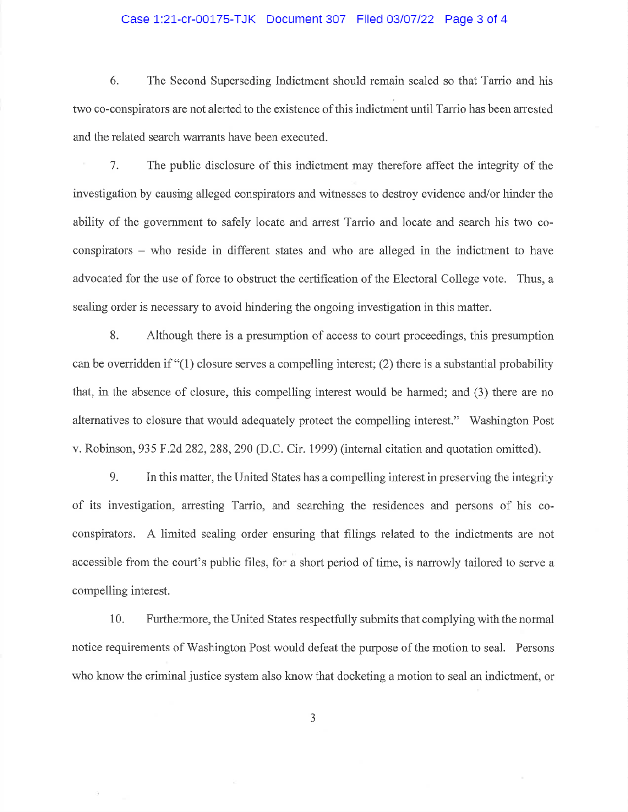#### Case 1:21-cr-00175-TJK Document 307 Filed 03/07/22 Page 3 of 4

6. The Second Superseding Indictment should remain sealed so that Tarrio and his two co-conspirators are not alerted to the existence of this indictment until Tarrio has been arrested and the related search warrants have been executed.

The public disclosure of this indictment may therefore affect the integrity of the 7. investigation by causing alleged conspirators and witnesses to destroy evidence and/or hinder the ability of the government to safely locate and arrest Tarrio and locate and search his two coconspirators – who reside in different states and who are alleged in the indictment to have advocated for the use of force to obstruct the certification of the Electoral College vote. Thus, a sealing order is necessary to avoid hindering the ongoing investigation in this matter.

8. Although there is a presumption of access to court proceedings, this presumption can be overridden if "(1) closure serves a compelling interest; (2) there is a substantial probability that, in the absence of closure, this compelling interest would be harmed; and (3) there are no alternatives to closure that would adequately protect the compelling interest." Washington Post v. Robinson, 935 F.2d 282, 288, 290 (D.C. Cir. 1999) (internal citation and quotation omitted).

9. In this matter, the United States has a compelling interest in preserving the integrity of its investigation, arresting Tarrio, and searching the residences and persons of his coconspirators. A limited sealing order ensuring that filings related to the indictments are not accessible from the court's public files, for a short period of time, is narrowly tailored to serve a compelling interest.

10. Furthermore, the United States respectfully submits that complying with the normal notice requirements of Washington Post would defeat the purpose of the motion to seal. Persons who know the criminal justice system also know that docketing a motion to seal an indictment, or

3